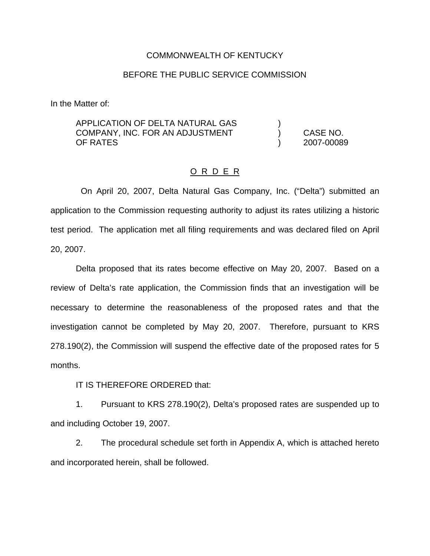### COMMONWEALTH OF KENTUCKY

## BEFORE THE PUBLIC SERVICE COMMISSION

In the Matter of:

APPLICATION OF DELTA NATURAL GAS  $($ COMPANY, INC. FOR AN ADJUSTMENT ) CASE NO. OF RATES ) 2007-00089

#### O R D E R

On April 20, 2007, Delta Natural Gas Company, Inc. ("Delta") submitted an application to the Commission requesting authority to adjust its rates utilizing a historic test period. The application met all filing requirements and was declared filed on April 20, 2007.

Delta proposed that its rates become effective on May 20, 2007. Based on a review of Delta's rate application, the Commission finds that an investigation will be necessary to determine the reasonableness of the proposed rates and that the investigation cannot be completed by May 20, 2007. Therefore, pursuant to KRS 278.190(2), the Commission will suspend the effective date of the proposed rates for 5 months.

IT IS THEREFORE ORDERED that:

1. Pursuant to KRS 278.190(2), Delta's proposed rates are suspended up to and including October 19, 2007.

2. The procedural schedule set forth in Appendix A, which is attached hereto and incorporated herein, shall be followed.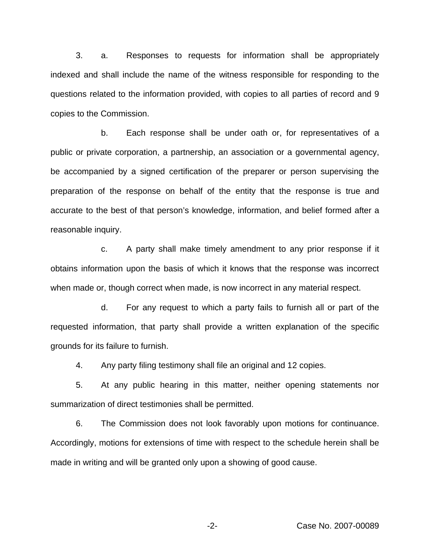3. a. Responses to requests for information shall be appropriately indexed and shall include the name of the witness responsible for responding to the questions related to the information provided, with copies to all parties of record and 9 copies to the Commission.

b. Each response shall be under oath or, for representatives of a public or private corporation, a partnership, an association or a governmental agency, be accompanied by a signed certification of the preparer or person supervising the preparation of the response on behalf of the entity that the response is true and accurate to the best of that person's knowledge, information, and belief formed after a reasonable inquiry.

c. A party shall make timely amendment to any prior response if it obtains information upon the basis of which it knows that the response was incorrect when made or, though correct when made, is now incorrect in any material respect.

d. For any request to which a party fails to furnish all or part of the requested information, that party shall provide a written explanation of the specific grounds for its failure to furnish.

4. Any party filing testimony shall file an original and 12 copies.

5. At any public hearing in this matter, neither opening statements nor summarization of direct testimonies shall be permitted.

6. The Commission does not look favorably upon motions for continuance. Accordingly, motions for extensions of time with respect to the schedule herein shall be made in writing and will be granted only upon a showing of good cause.

-2- Case No. 2007-00089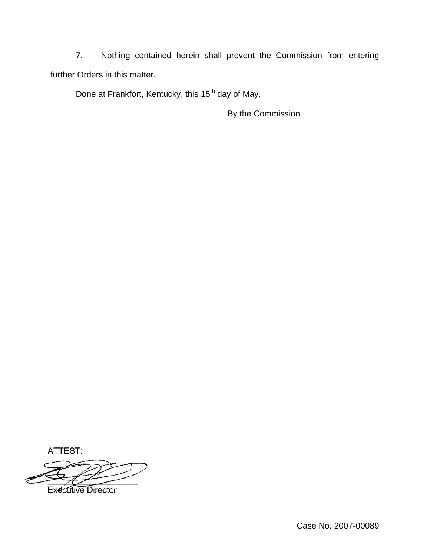7. Nothing contained herein shall prevent the Commission from entering further Orders in this matter.

Done at Frankfort, Kentucky, this 15<sup>th</sup> day of May.

By the Commission

ATTEST:

**Executive Director**